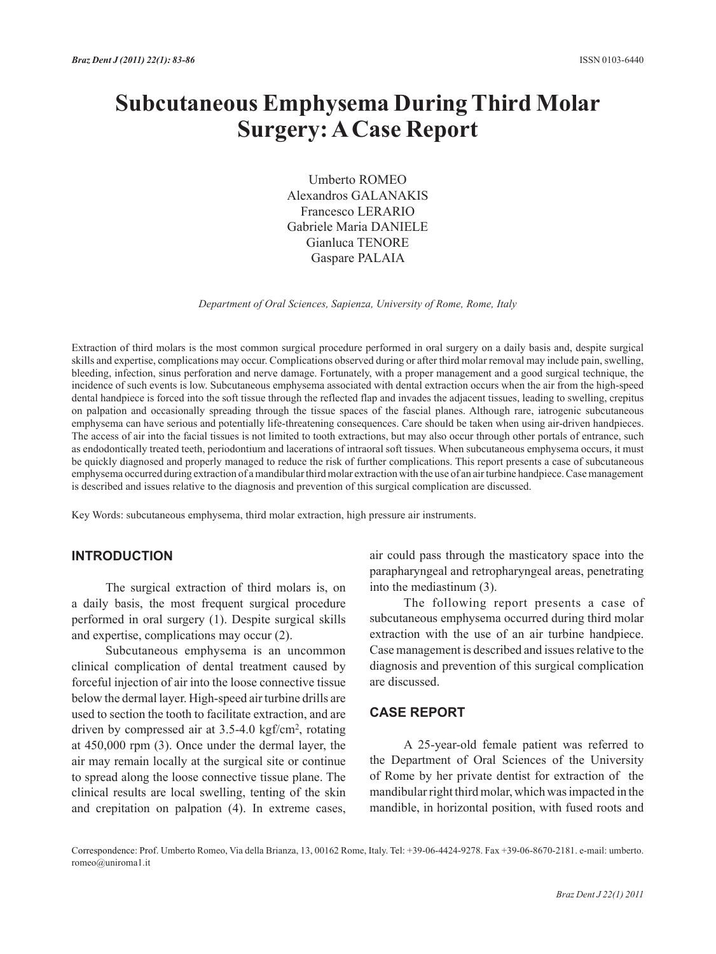# **Subcutaneous Emphysema During Third Molar Surgery: A Case Report**

Umberto Romeo Alexandros GALANAKIS Francesco LERARIO Gabriele Maria DANIELE Gianluca TENORE Gaspare PALAIA

*Department of Oral Sciences, Sapienza, University of Rome, Rome, Italy*

Extraction of third molars is the most common surgical procedure performed in oral surgery on a daily basis and, despite surgical skills and expertise, complications may occur. Complications observed during or after third molar removal may include pain, swelling, bleeding, infection, sinus perforation and nerve damage. Fortunately, with a proper management and a good surgical technique, the incidence of such events is low. Subcutaneous emphysema associated with dental extraction occurs when the air from the high-speed dental handpiece is forced into the soft tissue through the reflected flap and invades the adjacent tissues, leading to swelling, crepitus on palpation and occasionally spreading through the tissue spaces of the fascial planes. Although rare, iatrogenic subcutaneous emphysema can have serious and potentially life-threatening consequences. Care should be taken when using air-driven handpieces. The access of air into the facial tissues is not limited to tooth extractions, but may also occur through other portals of entrance, such as endodontically treated teeth, periodontium and lacerations of intraoral soft tissues. When subcutaneous emphysema occurs, it must be quickly diagnosed and properly managed to reduce the risk of further complications. This report presents a case of subcutaneous emphysema occurred during extraction of a mandibular third molar extraction with the use of an air turbine handpiece. Case management is described and issues relative to the diagnosis and prevention of this surgical complication are discussed.

Key Words: subcutaneous emphysema, third molar extraction, high pressure air instruments.

## **INTRODUCTION**

The surgical extraction of third molars is, on a daily basis, the most frequent surgical procedure performed in oral surgery (1). Despite surgical skills and expertise, complications may occur (2).

Subcutaneous emphysema is an uncommon clinical complication of dental treatment caused by forceful injection of air into the loose connective tissue below the dermal layer. High-speed air turbine drills are used to section the tooth to facilitate extraction, and are driven by compressed air at 3.5-4.0 kgf/cm2, rotating at 450,000 rpm (3). Once under the dermal layer, the air may remain locally at the surgical site or continue to spread along the loose connective tissue plane. The clinical results are local swelling, tenting of the skin and crepitation on palpation (4). In extreme cases,

air could pass through the masticatory space into the parapharyngeal and retropharyngeal areas, penetrating into the mediastinum (3).

The following report presents a case of subcutaneous emphysema occurred during third molar extraction with the use of an air turbine handpiece. Case management is described and issues relative to the diagnosis and prevention of this surgical complication are discussed.

#### **CASE REPORT**

A 25-year-old female patient was referred to the Department of Oral Sciences of the University of Rome by her private dentist for extraction of the mandibular right third molar, which was impacted in the mandible, in horizontal position, with fused roots and

Correspondence: Prof. Umberto Romeo, Via della Brianza, 13, 00162 Rome, Italy. Tel: +39-06-4424-9278. Fax +39-06-8670-2181. e-mail: umberto. romeo@uniroma1.it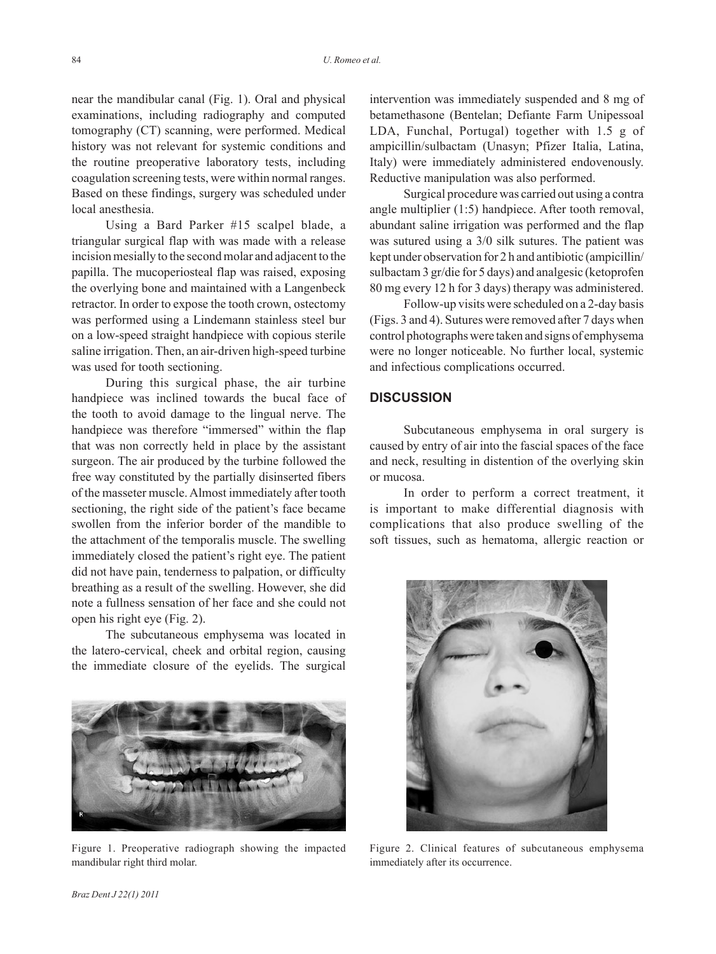near the mandibular canal (Fig. 1). Oral and physical examinations, including radiography and computed tomography (CT) scanning, were performed. Medical history was not relevant for systemic conditions and the routine preoperative laboratory tests, including coagulation screening tests, were within normal ranges. Based on these findings, surgery was scheduled under local anesthesia.

Using a Bard Parker #15 scalpel blade, a triangular surgical flap with was made with a release incision mesially to the second molar and adjacent to the papilla. The mucoperiosteal flap was raised, exposing the overlying bone and maintained with a Langenbeck retractor. In order to expose the tooth crown, ostectomy was performed using a Lindemann stainless steel bur on a low-speed straight handpiece with copious sterile saline irrigation. Then, an air-driven high-speed turbine was used for tooth sectioning.

During this surgical phase, the air turbine handpiece was inclined towards the bucal face of the tooth to avoid damage to the lingual nerve. The handpiece was therefore "immersed" within the flap that was non correctly held in place by the assistant surgeon. The air produced by the turbine followed the free way constituted by the partially disinserted fibers of the masseter muscle. Almost immediately after tooth sectioning, the right side of the patient's face became swollen from the inferior border of the mandible to the attachment of the temporalis muscle. The swelling immediately closed the patient's right eye. The patient did not have pain, tenderness to palpation, or difficulty breathing as a result of the swelling. However, she did note a fullness sensation of her face and she could not open his right eye (Fig. 2).

The subcutaneous emphysema was located in the latero-cervical, cheek and orbital region, causing the immediate closure of the eyelids. The surgical



Figure 1. Preoperative radiograph showing the impacted mandibular right third molar.

intervention was immediately suspended and 8 mg of betamethasone (Bentelan; Defiante Farm Unipessoal LDA, Funchal, Portugal) together with 1.5 g of ampicillin/sulbactam (Unasyn; Pfizer Italia, Latina, Italy) were immediately administered endovenously. Reductive manipulation was also performed.

Surgical procedure was carried out using a contra angle multiplier (1:5) handpiece. After tooth removal, abundant saline irrigation was performed and the flap was sutured using a 3/0 silk sutures. The patient was kept under observation for 2 h and antibiotic (ampicillin/ sulbactam 3 gr/die for 5 days) and analgesic (ketoprofen 80 mg every 12 h for 3 days) therapy was administered.

Follow-up visits were scheduled on a 2-day basis (Figs. 3 and 4). Sutures were removed after 7 days when control photographs were taken and signs of emphysema were no longer noticeable. No further local, systemic and infectious complications occurred.

### **DISCUSSION**

Subcutaneous emphysema in oral surgery is caused by entry of air into the fascial spaces of the face and neck, resulting in distention of the overlying skin or mucosa.

In order to perform a correct treatment, it is important to make differential diagnosis with complications that also produce swelling of the soft tissues, such as hematoma, allergic reaction or



Figure 2. Clinical features of subcutaneous emphysema immediately after its occurrence.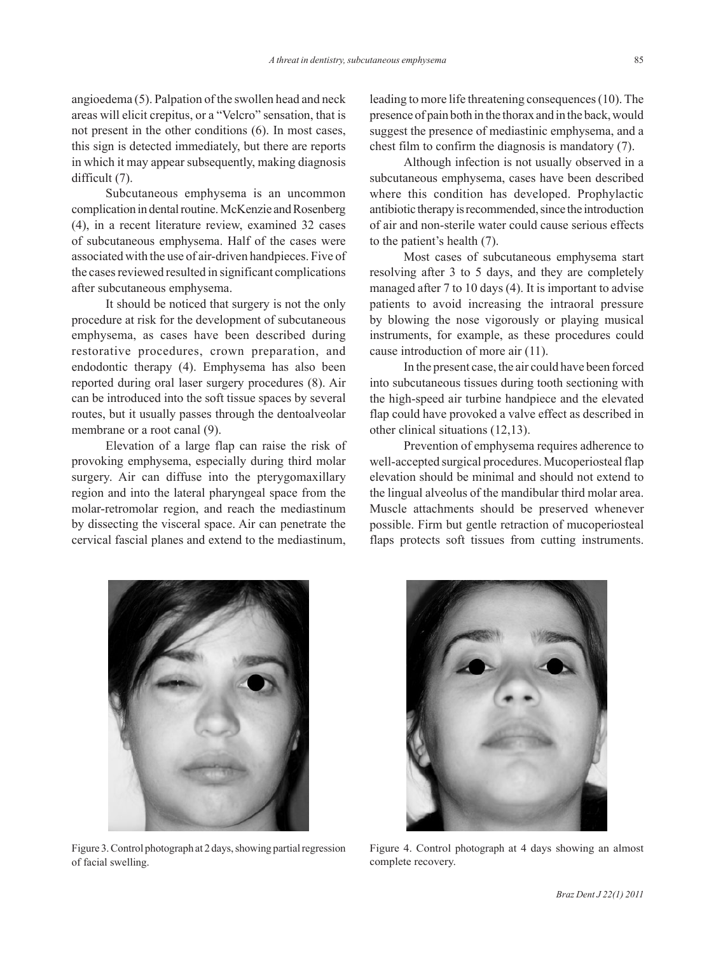angioedema (5). Palpation of the swollen head and neck areas will elicit crepitus, or a "Velcro" sensation, that is not present in the other conditions (6). In most cases, this sign is detected immediately, but there are reports in which it may appear subsequently, making diagnosis difficult (7).

Subcutaneous emphysema is an uncommon complication in dental routine. McKenzie and Rosenberg (4), in a recent literature review, examined 32 cases of subcutaneous emphysema. Half of the cases were associated with the use of air-driven handpieces. Five of the cases reviewed resulted in significant complications after subcutaneous emphysema.

It should be noticed that surgery is not the only procedure at risk for the development of subcutaneous emphysema, as cases have been described during restorative procedures, crown preparation, and endodontic therapy (4). Emphysema has also been reported during oral laser surgery procedures (8). Air can be introduced into the soft tissue spaces by several routes, but it usually passes through the dentoalveolar membrane or a root canal  $(9)$ .

Elevation of a large flap can raise the risk of provoking emphysema, especially during third molar surgery. Air can diffuse into the pterygomaxillary region and into the lateral pharyngeal space from the molar-retromolar region, and reach the mediastinum by dissecting the visceral space. Air can penetrate the cervical fascial planes and extend to the mediastinum,

leading to more life threatening consequences (10). The presence of pain both in the thorax and in the back, would suggest the presence of mediastinic emphysema, and a chest film to confirm the diagnosis is mandatory (7).

Although infection is not usually observed in a subcutaneous emphysema, cases have been described where this condition has developed. Prophylactic antibiotic therapy is recommended, since the introduction of air and non-sterile water could cause serious effects to the patient's health (7).

Most cases of subcutaneous emphysema start resolving after 3 to 5 days, and they are completely managed after 7 to 10 days (4). It is important to advise patients to avoid increasing the intraoral pressure by blowing the nose vigorously or playing musical instruments, for example, as these procedures could cause introduction of more air (11).

In the present case, the air could have been forced into subcutaneous tissues during tooth sectioning with the high-speed air turbine handpiece and the elevated flap could have provoked a valve effect as described in other clinical situations (12,13).

Prevention of emphysema requires adherence to well-accepted surgical procedures. Mucoperiosteal flap elevation should be minimal and should not extend to the lingual alveolus of the mandibular third molar area. Muscle attachments should be preserved whenever possible. Firm but gentle retraction of mucoperiosteal flaps protects soft tissues from cutting instruments.



Figure 3.Control photograph at 2 days, showing partial regression of facial swelling.



Figure 4. Control photograph at 4 days showing an almost complete recovery.